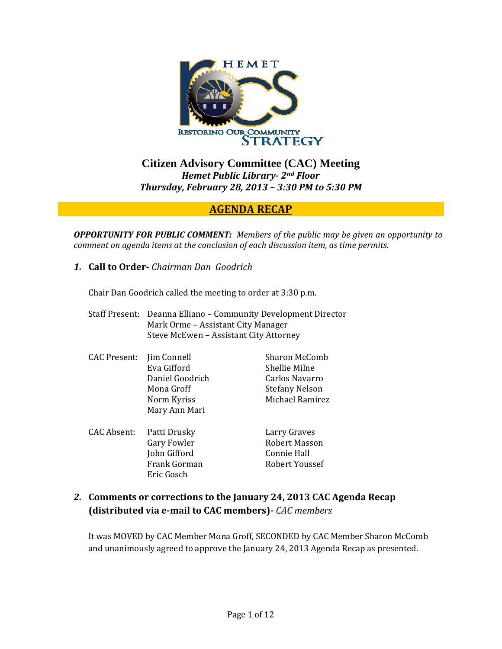

**Citizen Advisory Committee (CAC) Meeting**  *Hemet Public Library 2nd Floor Thursday, February 28, 2013 – 3:30 PM to 5:30 PM*

## **AGENDA RECAP**

*OPPORTUNITY FOR PUBLIC COMMENT: Members of the public may be given an opportunity to comment on agenda items at the conclusion of each discussion item, as time permits.*

*1.* **Call to Order** *Chairman Dan Goodrich*

Eric Gosch

Chair Dan Goodrich called the meeting to order at 3:30 p.m.

|                     | Staff Present: Deanna Elliano - Community Development Director<br>Mark Orme - Assistant City Manager<br>Steve McEwen - Assistant City Attorney |                       |
|---------------------|------------------------------------------------------------------------------------------------------------------------------------------------|-----------------------|
| <b>CAC</b> Present: | Jim Connell                                                                                                                                    | Sharon McComb         |
|                     | Eva Gifford                                                                                                                                    | Shellie Milne         |
|                     | Daniel Goodrich                                                                                                                                | Carlos Navarro        |
|                     | Mona Groff                                                                                                                                     | <b>Stefany Nelson</b> |
|                     | Norm Kyriss                                                                                                                                    | Michael Ramirez       |
|                     | Mary Ann Mari                                                                                                                                  |                       |
| CAC Absent:         | Patti Drusky                                                                                                                                   | Larry Graves          |
|                     | Gary Fowler                                                                                                                                    | <b>Robert Masson</b>  |
|                     | John Gifford                                                                                                                                   | Connie Hall           |

#### *2.* **Comments or corrections to the January 24, 2013 CAC Agenda Recap (distributed via email to CAC members)** *CAC members*

Frank Gorman Robert Youssef

It was MOVED by CAC Member Mona Groff, SECONDED by CAC Member Sharon McComb and unanimously agreed to approve the January 24, 2013 Agenda Recap as presented.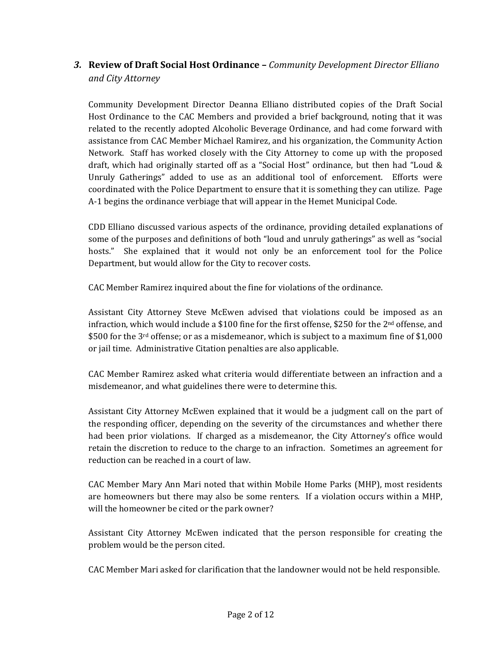# *3.* **Review of Draft Social Host Ordinance –** *Community Development Director Elliano and City Attorney*

Community Development Director Deanna Elliano distributed copies of the Draft Social Host Ordinance to the CAC Members and provided a brief background, noting that it was related to the recently adopted Alcoholic Beverage Ordinance, and had come forward with assistance from CAC Member Michael Ramirez, and his organization, the Community Action Network. Staff has worked closely with the City Attorney to come up with the proposed draft, which had originally started off as a "Social Host" ordinance, but then had "Loud  $\&$ Unruly Gatherings" added to use as an additional tool of enforcement. Efforts were coordinated with the Police Department to ensure that it is something they can utilize. Page A‐1 begins the ordinance verbiage that will appear in the Hemet Municipal Code.

CDD Elliano discussed various aspects of the ordinance, providing detailed explanations of some of the purposes and definitions of both "loud and unruly gatherings" as well as "social hosts." She explained that it would not only be an enforcement tool for the Police Department, but would allow for the City to recover costs.

CAC Member Ramirez inquired about the fine for violations of the ordinance.

Assistant City Attorney Steve McEwen advised that violations could be imposed as an infraction, which would include a \$100 fine for the first offense, \$250 for the  $2<sup>nd</sup>$  offense, and \$500 for the 3<sup>rd</sup> offense; or as a misdemeanor, which is subject to a maximum fine of \$1,000 or jail time. Administrative Citation penalties are also applicable.

CAC Member Ramirez asked what criteria would differentiate between an infraction and a misdemeanor, and what guidelines there were to determine this.

Assistant City Attorney McEwen explained that it would be a judgment call on the part of the responding officer, depending on the severity of the circumstances and whether there had been prior violations. If charged as a misdemeanor, the City Attorney's office would retain the discretion to reduce to the charge to an infraction. Sometimes an agreement for reduction can be reached in a court of law.

CAC Member Mary Ann Mari noted that within Mobile Home Parks (MHP), most residents are homeowners but there may also be some renters. If a violation occurs within a MHP, will the homeowner be cited or the park owner?

Assistant City Attorney McEwen indicated that the person responsible for creating the problem would be the person cited.

CAC Member Mari asked for clarification that the landowner would not be held responsible.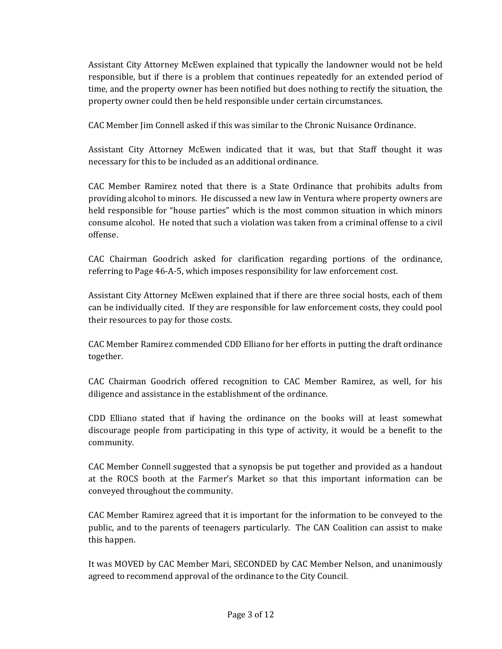Assistant City Attorney McEwen explained that typically the landowner would not be held responsible, but if there is a problem that continues repeatedly for an extended period of time, and the property owner has been notified but does nothing to rectify the situation, the property owner could then be held responsible under certain circumstances.

CAC Member Jim Connell asked if this was similar to the Chronic Nuisance Ordinance.

Assistant City Attorney McEwen indicated that it was, but that Staff thought it was necessary for this to be included as an additional ordinance.

CAC Member Ramirez noted that there is a State Ordinance that prohibits adults from providing alcohol to minors. He discussed a new law in Ventura where property owners are held responsible for "house parties" which is the most common situation in which minors consume alcohol. He noted that such a violation was taken from a criminal offense to a civil offense.

CAC Chairman Goodrich asked for clarification regarding portions of the ordinance, referring to Page 46‐A‐5, which imposes responsibility for law enforcement cost.

Assistant City Attorney McEwen explained that if there are three social hosts, each of them can be individually cited. If they are responsible for law enforcement costs, they could pool their resources to pay for those costs.

CAC Member Ramirez commended CDD Elliano for her efforts in putting the draft ordinance together.

CAC Chairman Goodrich offered recognition to CAC Member Ramirez, as well, for his diligence and assistance in the establishment of the ordinance.

CDD Elliano stated that if having the ordinance on the books will at least somewhat discourage people from participating in this type of activity, it would be a benefit to the community.

CAC Member Connell suggested that a synopsis be put together and provided as a handout at the ROCS booth at the Farmer's Market so that this important information can be conveyed throughout the community.

CAC Member Ramirez agreed that it is important for the information to be conveyed to the public, and to the parents of teenagers particularly. The CAN Coalition can assist to make this happen.

It was MOVED by CAC Member Mari, SECONDED by CAC Member Nelson, and unanimously agreed to recommend approval of the ordinance to the City Council.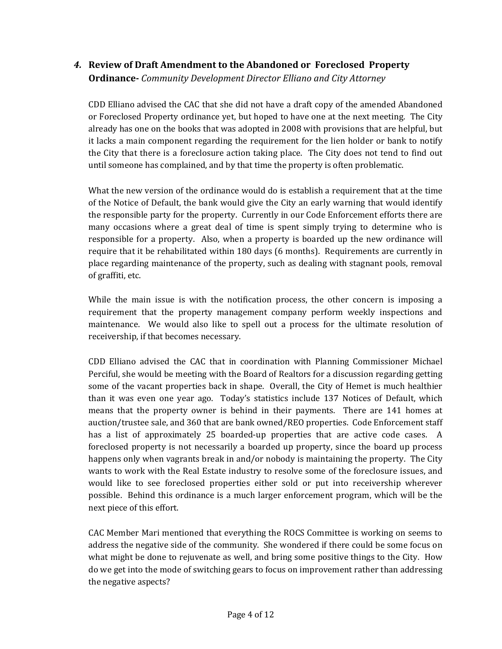## *4.* **Review of Draft Amendment to the Abandoned or Foreclosed Property Ordinance** *Community Development Director Elliano and City Attorney*

CDD Elliano advised the CAC that she did not have a draft copy of the amended Abandoned or Foreclosed Property ordinance yet, but hoped to have one at the next meeting. The City already has one on the books that was adopted in 2008 with provisions that are helpful, but it lacks a main component regarding the requirement for the lien holder or bank to notify the City that there is a foreclosure action taking place. The City does not tend to find out until someone has complained, and by that time the property is often problematic.

What the new version of the ordinance would do is establish a requirement that at the time of the Notice of Default, the bank would give the City an early warning that would identify the responsible party for the property. Currently in our Code Enforcement efforts there are many occasions where a great deal of time is spent simply trying to determine who is responsible for a property. Also, when a property is boarded up the new ordinance will require that it be rehabilitated within 180 days (6 months). Requirements are currently in place regarding maintenance of the property, such as dealing with stagnant pools, removal of graffiti, etc.

While the main issue is with the notification process, the other concern is imposing a requirement that the property management company perform weekly inspections and maintenance. We would also like to spell out a process for the ultimate resolution of receivership, if that becomes necessary.

CDD Elliano advised the CAC that in coordination with Planning Commissioner Michael Perciful, she would be meeting with the Board of Realtors for a discussion regarding getting some of the vacant properties back in shape. Overall, the City of Hemet is much healthier than it was even one year ago. Today's statistics include 137 Notices of Default, which means that the property owner is behind in their payments. There are 141 homes at auction/trustee sale, and 360 that are bank owned/REO properties. Code Enforcement staff has a list of approximately 25 boarded-up properties that are active code cases. A foreclosed property is not necessarily a boarded up property, since the board up process happens only when vagrants break in and/or nobody is maintaining the property. The City wants to work with the Real Estate industry to resolve some of the foreclosure issues, and would like to see foreclosed properties either sold or put into receivership wherever possible. Behind this ordinance is a much larger enforcement program, which will be the next piece of this effort.

CAC Member Mari mentioned that everything the ROCS Committee is working on seems to address the negative side of the community. She wondered if there could be some focus on what might be done to rejuvenate as well, and bring some positive things to the City. How do we get into the mode of switching gears to focus on improvement rather than addressing the negative aspects?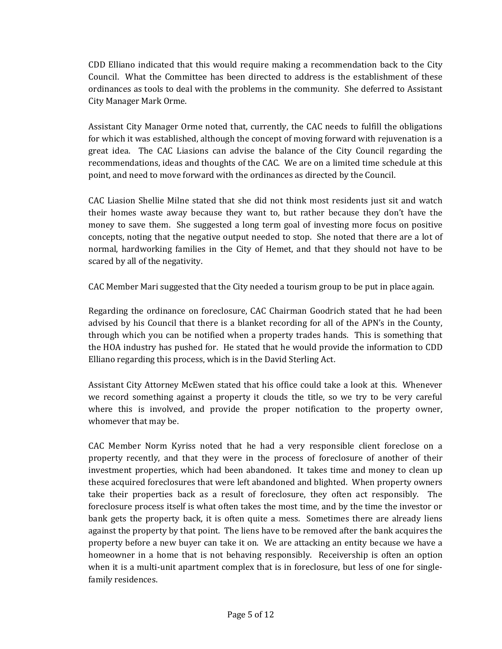CDD Elliano indicated that this would require making a recommendation back to the City Council. What the Committee has been directed to address is the establishment of these ordinances as tools to deal with the problems in the community. She deferred to Assistant City Manager Mark Orme.

Assistant City Manager Orme noted that, currently, the CAC needs to fulfill the obligations for which it was established, although the concept of moving forward with rejuvenation is a great idea. The CAC Liasions can advise the balance of the City Council regarding the recommendations, ideas and thoughts of the CAC. We are on a limited time schedule at this point, and need to move forward with the ordinances as directed by the Council.

CAC Liasion Shellie Milne stated that she did not think most residents just sit and watch their homes waste away because they want to, but rather because they don't have the money to save them. She suggested a long term goal of investing more focus on positive concepts, noting that the negative output needed to stop. She noted that there are a lot of normal, hardworking families in the City of Hemet, and that they should not have to be scared by all of the negativity.

CAC Member Mari suggested that the City needed a tourism group to be put in place again.

Regarding the ordinance on foreclosure, CAC Chairman Goodrich stated that he had been advised by his Council that there is a blanket recording for all of the APN's in the County, through which you can be notified when a property trades hands. This is something that the HOA industry has pushed for. He stated that he would provide the information to CDD Elliano regarding this process, which is in the David Sterling Act.

Assistant City Attorney McEwen stated that his office could take a look at this. Whenever we record something against a property it clouds the title, so we try to be very careful where this is involved, and provide the proper notification to the property owner, whomever that may be.

CAC Member Norm Kyriss noted that he had a very responsible client foreclose on a property recently, and that they were in the process of foreclosure of another of their investment properties, which had been abandoned. It takes time and money to clean up these acquired foreclosures that were left abandoned and blighted. When property owners take their properties back as a result of foreclosure, they often act responsibly. The foreclosure process itself is what often takes the most time, and by the time the investor or bank gets the property back, it is often quite a mess. Sometimes there are already liens against the property by that point. The liens have to be removed after the bank acquires the property before a new buyer can take it on. We are attacking an entity because we have a homeowner in a home that is not behaving responsibly. Receivership is often an option when it is a multi-unit apartment complex that is in foreclosure, but less of one for singlefamily residences.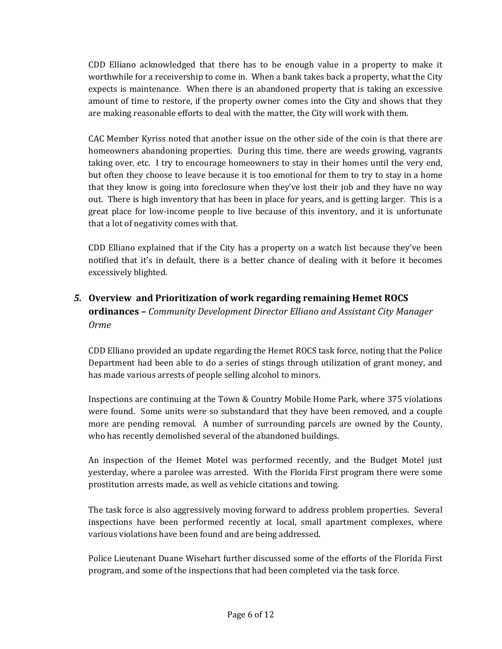CDD Elliano acknowledged that there has to be enough value in a property to make it worthwhile for a receivership to come in. When a bank takes back a property, what the City expects is maintenance. When there is an abandoned property that is taking an excessive amount of time to restore, if the property owner comes into the City and shows that they are making reasonable efforts to deal with the matter, the City will work with them.

CAC Member Kyriss noted that another issue on the other side of the coin is that there are homeowners abandoning properties. During this time, there are weeds growing, vagrants taking over, etc. I try to encourage homeowners to stay in their homes until the very end, but often they choose to leave because it is too emotional for them to try to stay in a home that they know is going into foreclosure when they've lost their job and they have no way out. There is high inventory that has been in place for years, and is getting larger. This is a great place for low-income people to live because of this inventory, and it is unfortunate that a lot of negativity comes with that.

CDD Elliano explained that if the City has a property on a watch list because they've been notified that it's in default, there is a better chance of dealing with it before it becomes excessively blighted.

## *5.* **Overview and Prioritization of work regarding remaining Hemet ROCS ordinances –** *Community Development Director Elliano and Assistant City Manager Orme*

CDD Elliano provided an update regarding the Hemet ROCS task force, noting that the Police Department had been able to do a series of stings through utilization of grant money, and has made various arrests of people selling alcohol to minors.

Inspections are continuing at the Town & Country Mobile Home Park, where 375 violations were found. Some units were so substandard that they have been removed, and a couple more are pending removal. A number of surrounding parcels are owned by the County, who has recently demolished several of the abandoned buildings.

An inspection of the Hemet Motel was performed recently, and the Budget Motel just yesterday, where a parolee was arrested. With the Florida First program there were some prostitution arrests made, as well as vehicle citations and towing.

The task force is also aggressively moving forward to address problem properties. Several inspections have been performed recently at local, small apartment complexes, where various violations have been found and are being addressed.

Police Lieutenant Duane Wisehart further discussed some of the efforts of the Florida First program, and some of the inspections that had been completed via the task force.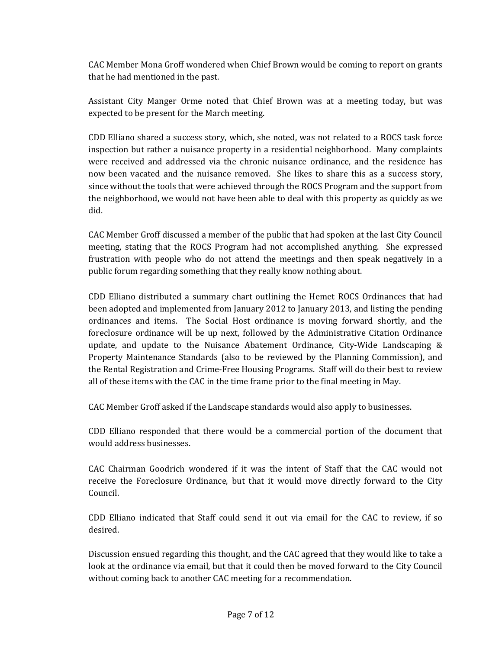CAC Member Mona Groff wondered when Chief Brown would be coming to report on grants that he had mentioned in the past.

Assistant City Manger Orme noted that Chief Brown was at a meeting today, but was expected to be present for the March meeting.

CDD Elliano shared a success story, which, she noted, was not related to a ROCS task force inspection but rather a nuisance property in a residential neighborhood. Many complaints were received and addressed via the chronic nuisance ordinance, and the residence has now been vacated and the nuisance removed. She likes to share this as a success story, since without the tools that were achieved through the ROCS Program and the support from the neighborhood, we would not have been able to deal with this property as quickly as we did.

CAC Member Groff discussed a member of the public that had spoken at the last City Council meeting, stating that the ROCS Program had not accomplished anything. She expressed frustration with people who do not attend the meetings and then speak negatively in a public forum regarding something that they really know nothing about.

CDD Elliano distributed a summary chart outlining the Hemet ROCS Ordinances that had been adopted and implemented from January 2012 to January 2013, and listing the pending ordinances and items. The Social Host ordinance is moving forward shortly, and the foreclosure ordinance will be up next, followed by the Administrative Citation Ordinance update, and update to the Nuisance Abatement Ordinance, City‐Wide Landscaping & Property Maintenance Standards (also to be reviewed by the Planning Commission), and the Rental Registration and Crime‐Free Housing Programs. Staff will do their best to review all of these items with the CAC in the time frame prior to the final meeting in May.

CAC Member Groff asked if the Landscape standards would also apply to businesses.

CDD Elliano responded that there would be a commercial portion of the document that would address businesses.

CAC Chairman Goodrich wondered if it was the intent of Staff that the CAC would not receive the Foreclosure Ordinance, but that it would move directly forward to the City Council.

CDD Elliano indicated that Staff could send it out via email for the CAC to review, if so desired.

Discussion ensued regarding this thought, and the CAC agreed that they would like to take a look at the ordinance via email, but that it could then be moved forward to the City Council without coming back to another CAC meeting for a recommendation.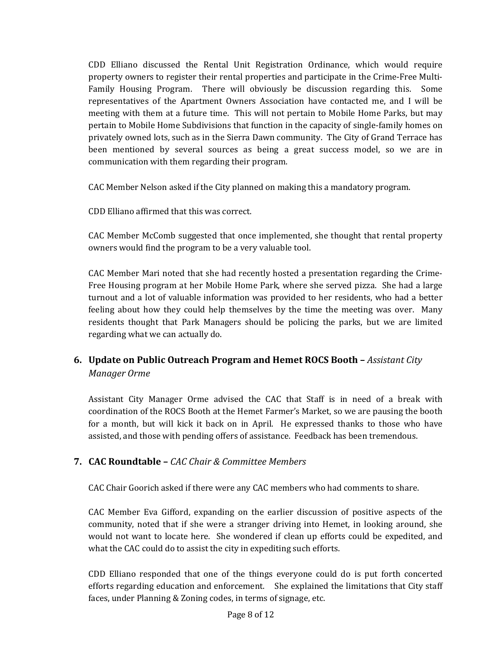CDD Elliano discussed the Rental Unit Registration Ordinance, which would require property owners to register their rental properties and participate in the Crime‐Free Multi‐ Family Housing Program. There will obviously be discussion regarding this. Some representatives of the Apartment Owners Association have contacted me, and I will be meeting with them at a future time. This will not pertain to Mobile Home Parks, but may pertain to Mobile Home Subdivisions that function in the capacity of single‐family homes on privately owned lots, such as in the Sierra Dawn community. The City of Grand Terrace has been mentioned by several sources as being a great success model, so we are in communication with them regarding their program.

CAC Member Nelson asked if the City planned on making this a mandatory program.

CDD Elliano affirmed that this was correct.

CAC Member McComb suggested that once implemented, she thought that rental property owners would find the program to be a very valuable tool.

CAC Member Mari noted that she had recently hosted a presentation regarding the Crime‐ Free Housing program at her Mobile Home Park, where she served pizza. She had a large turnout and a lot of valuable information was provided to her residents, who had a better feeling about how they could help themselves by the time the meeting was over. Many residents thought that Park Managers should be policing the parks, but we are limited regarding what we can actually do.

# **6. Update on Public Outreach Program and Hemet ROCS Booth –** *Assistant City Manager Orme*

Assistant City Manager Orme advised the CAC that Staff is in need of a break with coordination of the ROCS Booth at the Hemet Farmer's Market, so we are pausing the booth for a month, but will kick it back on in April. He expressed thanks to those who have assisted, and those with pending offers of assistance. Feedback has been tremendous.

## **7. CAC Roundtable –** *CAC Chair & Committee Members*

CAC Chair Goorich asked if there were any CAC members who had comments to share.

CAC Member Eva Gifford, expanding on the earlier discussion of positive aspects of the community, noted that if she were a stranger driving into Hemet, in looking around, she would not want to locate here. She wondered if clean up efforts could be expedited, and what the CAC could do to assist the city in expediting such efforts.

CDD Elliano responded that one of the things everyone could do is put forth concerted efforts regarding education and enforcement. She explained the limitations that City staff faces, under Planning & Zoning codes, in terms of signage, etc.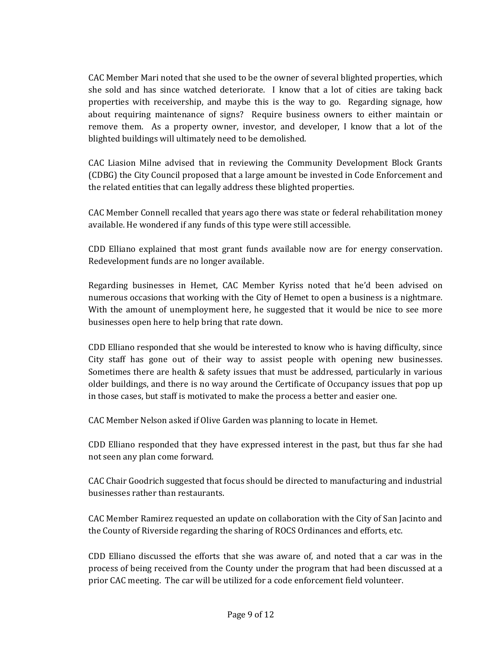CAC Member Mari noted that she used to be the owner of several blighted properties, which she sold and has since watched deteriorate. I know that a lot of cities are taking back properties with receivership, and maybe this is the way to go. Regarding signage, how about requiring maintenance of signs? Require business owners to either maintain or remove them. As a property owner, investor, and developer, I know that a lot of the blighted buildings will ultimately need to be demolished.

CAC Liasion Milne advised that in reviewing the Community Development Block Grants (CDBG) the City Council proposed that a large amount be invested in Code Enforcement and the related entities that can legally address these blighted properties.

CAC Member Connell recalled that years ago there was state or federal rehabilitation money available. He wondered if any funds of this type were still accessible.

CDD Elliano explained that most grant funds available now are for energy conservation. Redevelopment funds are no longer available.

Regarding businesses in Hemet, CAC Member Kyriss noted that he'd been advised on numerous occasions that working with the City of Hemet to open a business is a nightmare. With the amount of unemployment here, he suggested that it would be nice to see more businesses open here to help bring that rate down.

CDD Elliano responded that she would be interested to know who is having difficulty, since City staff has gone out of their way to assist people with opening new businesses. Sometimes there are health & safety issues that must be addressed, particularly in various older buildings, and there is no way around the Certificate of Occupancy issues that pop up in those cases, but staff is motivated to make the process a better and easier one.

CAC Member Nelson asked if Olive Garden was planning to locate in Hemet.

CDD Elliano responded that they have expressed interest in the past, but thus far she had not seen any plan come forward.

CAC Chair Goodrich suggested that focus should be directed to manufacturing and industrial businesses rather than restaurants.

CAC Member Ramirez requested an update on collaboration with the City of San Jacinto and the County of Riverside regarding the sharing of ROCS Ordinances and efforts, etc.

CDD Elliano discussed the efforts that she was aware of, and noted that a car was in the process of being received from the County under the program that had been discussed at a prior CAC meeting. The car will be utilized for a code enforcement field volunteer.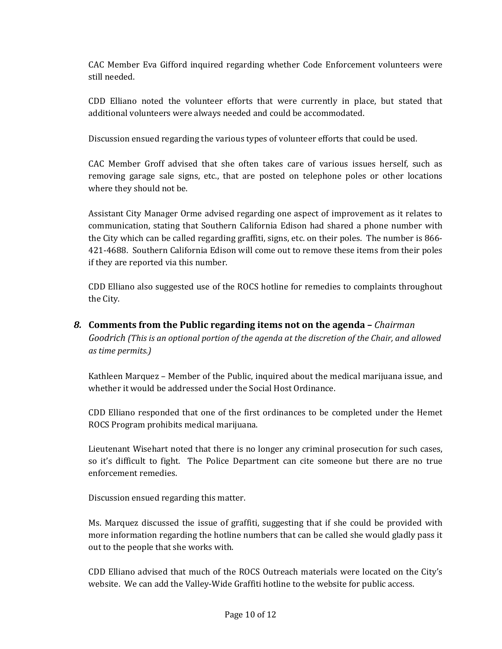CAC Member Eva Gifford inquired regarding whether Code Enforcement volunteers were still needed.

CDD Elliano noted the volunteer efforts that were currently in place, but stated that additional volunteers were always needed and could be accommodated.

Discussion ensued regarding the various types of volunteer efforts that could be used.

CAC Member Groff advised that she often takes care of various issues herself, such as removing garage sale signs, etc., that are posted on telephone poles or other locations where they should not be.

Assistant City Manager Orme advised regarding one aspect of improvement as it relates to communication, stating that Southern California Edison had shared a phone number with the City which can be called regarding graffiti, signs, etc. on their poles. The number is 866‐ 421‐4688. Southern California Edison will come out to remove these items from their poles if they are reported via this number.

CDD Elliano also suggested use of the ROCS hotline for remedies to complaints throughout the City.

*8.* **Comments from the Public regarding items not on the agenda –** *Chairman Goodrich (This is an optional portion of the agenda at the discretion of the Chair, and allowed as time permits.)*

Kathleen Marquez – Member of the Public, inquired about the medical marijuana issue, and whether it would be addressed under the Social Host Ordinance.

CDD Elliano responded that one of the first ordinances to be completed under the Hemet ROCS Program prohibits medical marijuana.

Lieutenant Wisehart noted that there is no longer any criminal prosecution for such cases, so it's difficult to fight. The Police Department can cite someone but there are no true enforcement remedies.

Discussion ensued regarding this matter.

Ms. Marquez discussed the issue of graffiti, suggesting that if she could be provided with more information regarding the hotline numbers that can be called she would gladly pass it out to the people that she works with.

CDD Elliano advised that much of the ROCS Outreach materials were located on the City's website. We can add the Valley-Wide Graffiti hotline to the website for public access.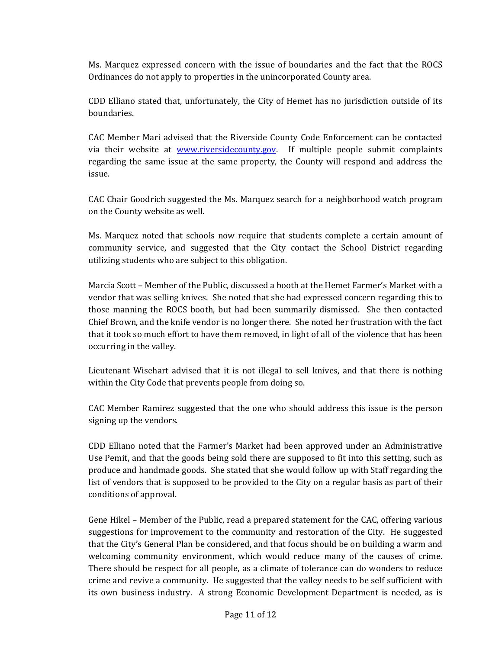Ms. Marquez expressed concern with the issue of boundaries and the fact that the ROCS Ordinances do not apply to properties in the unincorporated County area.

CDD Elliano stated that, unfortunately, the City of Hemet has no jurisdiction outside of its boundaries.

CAC Member Mari advised that the Riverside County Code Enforcement can be contacted via their website at **www.riversidecounty.gov**. If multiple people submit complaints regarding the same issue at the same property, the County will respond and address the issue.

CAC Chair Goodrich suggested the Ms. Marquez search for a neighborhood watch program on the County website as well.

Ms. Marquez noted that schools now require that students complete a certain amount of community service, and suggested that the City contact the School District regarding utilizing students who are subject to this obligation.

Marcia Scott – Member of the Public, discussed a booth at the Hemet Farmer's Market with a vendor that was selling knives. She noted that she had expressed concern regarding this to those manning the ROCS booth, but had been summarily dismissed. She then contacted Chief Brown, and the knife vendor is no longer there. She noted her frustration with the fact that it took so much effort to have them removed, in light of all of the violence that has been occurring in the valley.

Lieutenant Wisehart advised that it is not illegal to sell knives, and that there is nothing within the City Code that prevents people from doing so.

CAC Member Ramirez suggested that the one who should address this issue is the person signing up the vendors.

CDD Elliano noted that the Farmer's Market had been approved under an Administrative Use Pemit, and that the goods being sold there are supposed to fit into this setting, such as produce and handmade goods. She stated that she would follow up with Staff regarding the list of vendors that is supposed to be provided to the City on a regular basis as part of their conditions of approval.

Gene Hikel – Member of the Public, read a prepared statement for the CAC, offering various suggestions for improvement to the community and restoration of the City. He suggested that the City's General Plan be considered, and that focus should be on building a warm and welcoming community environment, which would reduce many of the causes of crime. There should be respect for all people, as a climate of tolerance can do wonders to reduce crime and revive a community. He suggested that the valley needs to be self sufficient with its own business industry. A strong Economic Development Department is needed, as is